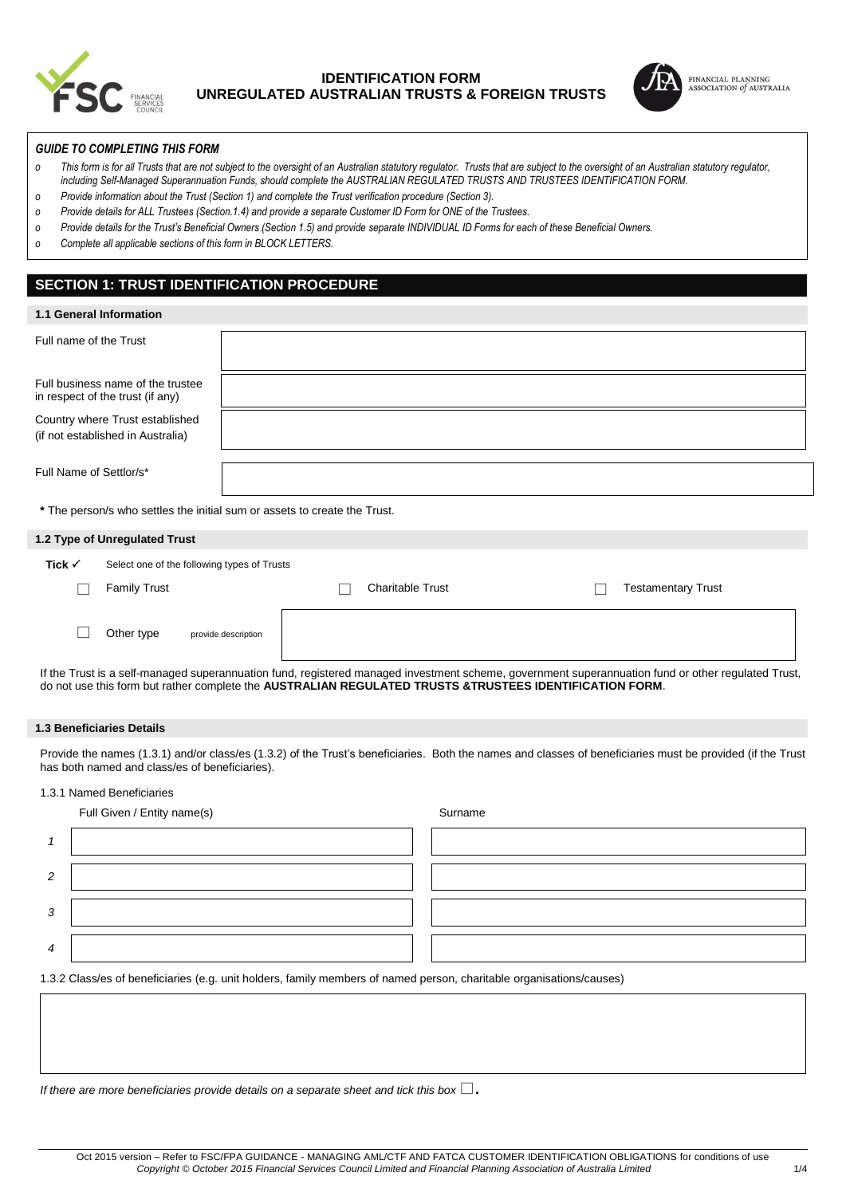

## **IDENTIFICATION FORM UNREGULATED AUSTRALIAN TRUSTS & FOREIGN TRUSTS**



#### *GUIDE TO COMPLETING THIS FORM*

- *o This form is for all Trusts that are not subject to the oversight of an Australian statutory regulator. Trusts that are subject to the oversight of an Australian statutory regulator, including Self-Managed Superannuation Funds, should complete the AUSTRALIAN REGULATED TRUSTS AND TRUSTEES IDENTIFICATION FORM.*
- *o Provide information about the Trust (Section 1) and complete the Trust verification procedure (Section 3).*
- *o Provide details for ALL Trustees (Section.1.4) and provide a separate Customer ID Form for ONE of the Trustees.*
- $o$  *Provide details for the Trust's Beneficial Owners (Section 1.5) and provide separate INDIVIDUAL ID Forms for each of these Beneficial Owners.*
- *o Complete all applicable sections of this form in BLOCK LETTERS.*

## **SECTION 1: TRUST IDENTIFICATION PROCEDURE**

| 1.1 General Information                                               |                                                                           |  |                         |  |  |                           |
|-----------------------------------------------------------------------|---------------------------------------------------------------------------|--|-------------------------|--|--|---------------------------|
| Full name of the Trust                                                |                                                                           |  |                         |  |  |                           |
| Full business name of the trustee<br>in respect of the trust (if any) |                                                                           |  |                         |  |  |                           |
| Country where Trust established<br>(if not established in Australia)  |                                                                           |  |                         |  |  |                           |
| Full Name of Settlor/s*                                               |                                                                           |  |                         |  |  |                           |
|                                                                       | * The person/s who settles the initial sum or assets to create the Trust. |  |                         |  |  |                           |
| 1.2 Type of Unregulated Trust                                         |                                                                           |  |                         |  |  |                           |
| Tick $\checkmark$                                                     | Select one of the following types of Trusts                               |  |                         |  |  |                           |
|                                                                       | <b>Family Trust</b>                                                       |  | <b>Charitable Trust</b> |  |  | <b>Testamentary Trust</b> |
|                                                                       | Other type<br>provide description                                         |  |                         |  |  |                           |

If the Trust is a self-managed superannuation fund, registered managed investment scheme, government superannuation fund or other regulated Trust, do not use this form but rather complete the **AUSTRALIAN REGULATED TRUSTS &TRUSTEES IDENTIFICATION FORM**.

### **1.3 Beneficiaries Details**

Provide the names (1.3.1) and/or class/es (1.3.2) of the Trust's beneficiaries. Both the names and classes of beneficiaries must be provided (if the Trust has both named and class/es of beneficiaries).

## 1.3.1 Named Beneficiaries

|   | Full Given / Entity name(s)                                                                                          | Surname |
|---|----------------------------------------------------------------------------------------------------------------------|---------|
|   |                                                                                                                      |         |
| 2 |                                                                                                                      |         |
| 3 |                                                                                                                      |         |
| 4 |                                                                                                                      |         |
|   | 1.3.2 Class/es of beneficiaries (e.g. unit holders, family members of named person, charitable organisations/causes) |         |
|   |                                                                                                                      |         |

*If there are more beneficiaries provide details on a separate sheet and tick this box*.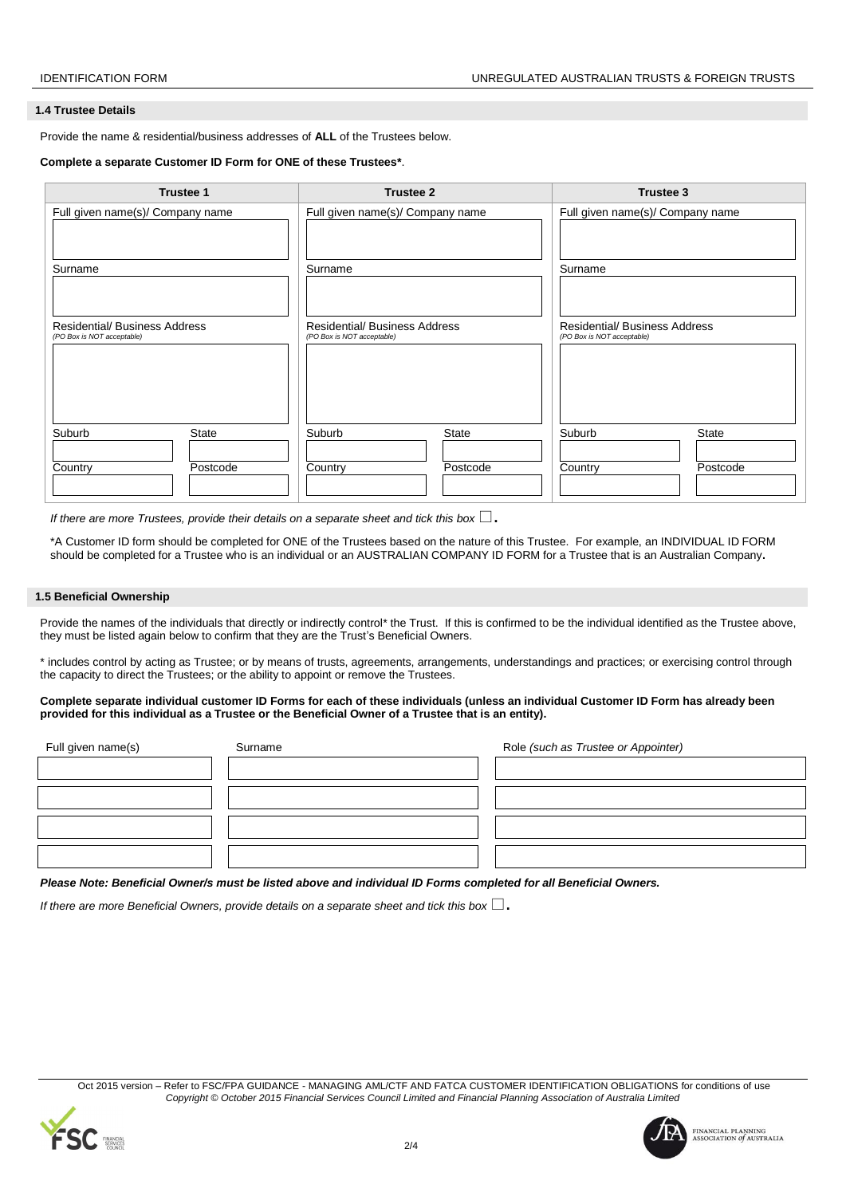#### **1.4 Trustee Details**

Provide the name & residential/business addresses of **ALL** of the Trustees below.

#### **Complete a separate Customer ID Form for ONE of these Trustees\***.

| <b>Trustee 1</b>                                                   | <b>Trustee 2</b>                                                   | <b>Trustee 3</b>                                                   |  |  |
|--------------------------------------------------------------------|--------------------------------------------------------------------|--------------------------------------------------------------------|--|--|
| Full given name(s)/ Company name                                   | Full given name(s)/ Company name                                   | Full given name(s)/ Company name                                   |  |  |
| Surname                                                            | Surname                                                            | Surname                                                            |  |  |
| <b>Residential/ Business Address</b><br>(PO Box is NOT acceptable) | <b>Residential/ Business Address</b><br>(PO Box is NOT acceptable) | <b>Residential/ Business Address</b><br>(PO Box is NOT acceptable) |  |  |
| <b>State</b><br>Suburb<br>Postcode<br>Country                      | Suburb<br><b>State</b><br>Postcode<br>Country                      | Suburb<br><b>State</b><br>Country<br>Postcode                      |  |  |

*If there are more Trustees, provide their details on a separate sheet and tick this box*  $\square$ .

\*A Customer ID form should be completed for ONE of the Trustees based on the nature of this Trustee. For example, an INDIVIDUAL ID FORM should be completed for a Trustee who is an individual or an AUSTRALIAN COMPANY ID FORM for a Trustee that is an Australian Company**.** 

#### **1.5 Beneficial Ownership**

Provide the names of the individuals that directly or indirectly control\* the Trust. If this is confirmed to be the individual identified as the Trustee above, they must be listed again below to confirm that they are the Trust's Beneficial Owners.

\* includes control by acting as Trustee; or by means of trusts, agreements, arrangements, understandings and practices; or exercising control through the capacity to direct the Trustees; or the ability to appoint or remove the Trustees.

#### **Complete separate individual customer ID Forms for each of these individuals (unless an individual Customer ID Form has already been provided for this individual as a Trustee or the Beneficial Owner of a Trustee that is an entity).**

| Full given name(s) | Surname | Role (such as Trustee or Appointer) |
|--------------------|---------|-------------------------------------|
|                    |         |                                     |
|                    |         |                                     |
|                    |         |                                     |
|                    |         |                                     |

*Please Note: Beneficial Owner/s must be listed above and individual ID Forms completed for all Beneficial Owners.*

*If there are more Beneficial Owners, provide details on a separate sheet and tick this box*  $\Box$ .





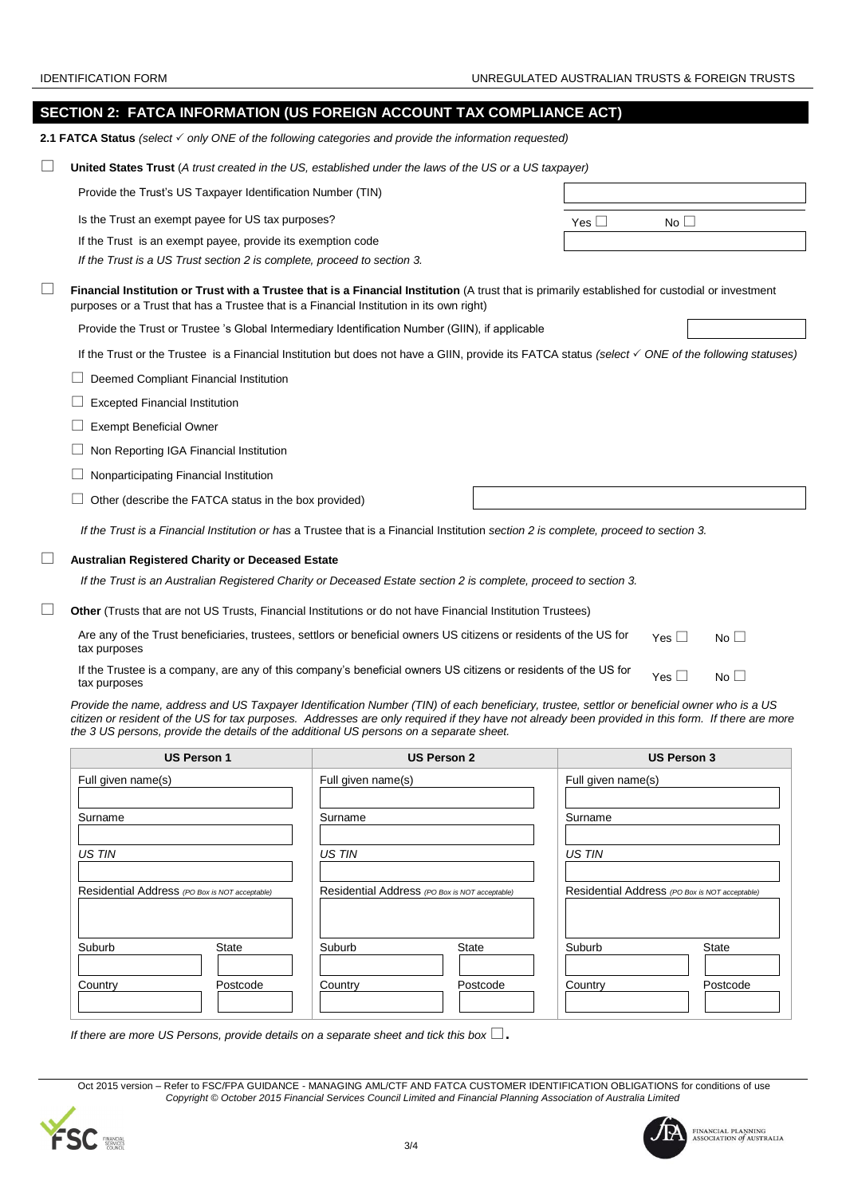|        | SECTION 2: FATCA INFORMATION (US FOREIGN ACCOUNT TAX COMPLIANCE ACT)                                                                                                                                                                         |               |                 |             |  |
|--------|----------------------------------------------------------------------------------------------------------------------------------------------------------------------------------------------------------------------------------------------|---------------|-----------------|-------------|--|
|        | 2.1 FATCA Status (select √ only ONE of the following categories and provide the information requested)                                                                                                                                       |               |                 |             |  |
| $\Box$ | United States Trust (A trust created in the US, established under the laws of the US or a US taxpayer)                                                                                                                                       |               |                 |             |  |
|        | Provide the Trust's US Taxpayer Identification Number (TIN)                                                                                                                                                                                  |               |                 |             |  |
|        | Is the Trust an exempt payee for US tax purposes?                                                                                                                                                                                            | Yes $\square$ | No <sub>1</sub> |             |  |
|        | If the Trust is an exempt payee, provide its exemption code                                                                                                                                                                                  |               |                 |             |  |
|        | If the Trust is a US Trust section 2 is complete, proceed to section 3.                                                                                                                                                                      |               |                 |             |  |
| $\Box$ | Financial Institution or Trust with a Trustee that is a Financial Institution (A trust that is primarily established for custodial or investment<br>purposes or a Trust that has a Trustee that is a Financial Institution in its own right) |               |                 |             |  |
|        | Provide the Trust or Trustee 's Global Intermediary Identification Number (GIIN), if applicable                                                                                                                                              |               |                 |             |  |
|        | If the Trust or the Trustee is a Financial Institution but does not have a GIIN, provide its FATCA status (select $\checkmark$ ONE of the following statuses)                                                                                |               |                 |             |  |
|        | Deemed Compliant Financial Institution                                                                                                                                                                                                       |               |                 |             |  |
|        | <b>Excepted Financial Institution</b>                                                                                                                                                                                                        |               |                 |             |  |
|        | <b>Exempt Beneficial Owner</b>                                                                                                                                                                                                               |               |                 |             |  |
|        | Non Reporting IGA Financial Institution                                                                                                                                                                                                      |               |                 |             |  |
|        | Nonparticipating Financial Institution                                                                                                                                                                                                       |               |                 |             |  |
|        | Other (describe the FATCA status in the box provided)                                                                                                                                                                                        |               |                 |             |  |
|        | If the Trust is a Financial Institution or has a Trustee that is a Financial Institution section 2 is complete, proceed to section 3.                                                                                                        |               |                 |             |  |
| ⊔      | <b>Australian Registered Charity or Deceased Estate</b>                                                                                                                                                                                      |               |                 |             |  |
|        | If the Trust is an Australian Registered Charity or Deceased Estate section 2 is complete, proceed to section 3.                                                                                                                             |               |                 |             |  |
| ⊔      | Other (Trusts that are not US Trusts, Financial Institutions or do not have Financial Institution Trustees)                                                                                                                                  |               |                 |             |  |
|        | Are any of the Trust beneficiaries, trustees, settlors or beneficial owners US citizens or residents of the US for<br>tax purposes                                                                                                           |               | Yes $\Box$      | $No$ $\Box$ |  |
|        | If the Trustee is a company, are any of this company's beneficial owners US citizens or residents of the US for<br>tax purposes                                                                                                              |               | Yes $\square$   | No          |  |

*Provide the name, address and US Taxpayer Identification Number (TIN) of each beneficiary, trustee, settlor or beneficial owner who is a US citizen or resident of the US for tax purposes. Addresses are only required if they have not already been provided in this form. If there are more the 3 US persons, provide the details of the additional US persons on a separate sheet.*

| <b>US Person 1</b>                             | <b>US Person 2</b>                             | <b>US Person 3</b>                             |  |  |
|------------------------------------------------|------------------------------------------------|------------------------------------------------|--|--|
| Full given name(s)                             | Full given name(s)                             | Full given name(s)                             |  |  |
| Surname                                        | Surname                                        | Surname                                        |  |  |
|                                                |                                                |                                                |  |  |
| US TIN                                         | <b>US TIN</b>                                  | <b>US TIN</b>                                  |  |  |
| Residential Address (PO Box is NOT acceptable) | Residential Address (PO Box is NOT acceptable) | Residential Address (PO Box is NOT acceptable) |  |  |
| Suburb<br><b>State</b>                         | Suburb<br><b>State</b>                         | Suburb<br><b>State</b>                         |  |  |
| Country<br>Postcode                            | Country<br>Postcode                            | Postcode<br>Country                            |  |  |

*If there are more US Persons, provide details on a separate sheet and tick this box* .

Oct 2015 version – Refer to FSC/FPA GUIDANCE - MANAGING AML/CTF AND FATCA CUSTOMER IDENTIFICATION OBLIGATIONS for conditions of use *Copyright © October 2015 Financial Services Council Limited and Financial Planning Association of Australia Limited*